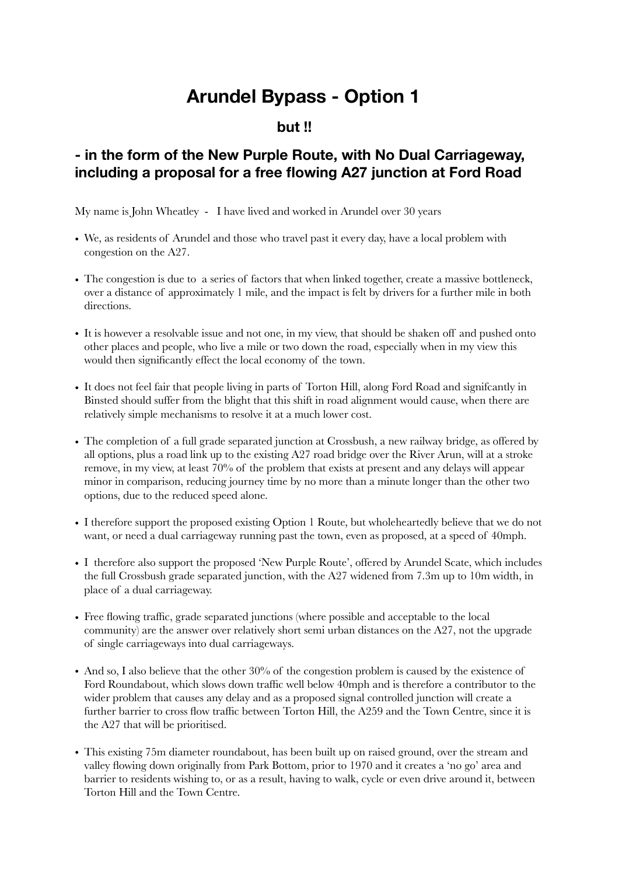## **Arundel Bypass - Option 1**

## **but !!**

## **- in the form of the New Purple Route, with No Dual Carriageway, including a proposal for a free flowing A27 junction at Ford Road**

My name is John Wheatley - I have lived and worked in Arundel over 30 years

- We, as residents of Arundel and those who travel past it every day, have a local problem with congestion on the A27.
- The congestion is due to a series of factors that when linked together, create a massive bottleneck, over a distance of approximately 1 mile, and the impact is felt by drivers for a further mile in both directions.
- It is however a resolvable issue and not one, in my view, that should be shaken off and pushed onto other places and people, who live a mile or two down the road, especially when in my view this would then significantly effect the local economy of the town.
- It does not feel fair that people living in parts of Torton Hill, along Ford Road and signifcantly in Binsted should suffer from the blight that this shift in road alignment would cause, when there are relatively simple mechanisms to resolve it at a much lower cost.
- The completion of a full grade separated junction at Crossbush, a new railway bridge, as offered by all options, plus a road link up to the existing A27 road bridge over the River Arun, will at a stroke remove, in my view, at least 70% of the problem that exists at present and any delays will appear minor in comparison, reducing journey time by no more than a minute longer than the other two options, due to the reduced speed alone.
- I therefore support the proposed existing Option 1 Route, but wholeheartedly believe that we do not want, or need a dual carriageway running past the town, even as proposed, at a speed of 40mph.
- I therefore also support the proposed 'New Purple Route', offered by Arundel Scate, which includes the full Crossbush grade separated junction, with the A27 widened from 7.3m up to 10m width, in place of a dual carriageway.
- Free flowing traffic, grade separated junctions (where possible and acceptable to the local community) are the answer over relatively short semi urban distances on the A27, not the upgrade of single carriageways into dual carriageways.
- And so, I also believe that the other 30% of the congestion problem is caused by the existence of Ford Roundabout, which slows down traffic well below 40mph and is therefore a contributor to the wider problem that causes any delay and as a proposed signal controlled junction will create a further barrier to cross flow traffic between Torton Hill, the A259 and the Town Centre, since it is the A27 that will be prioritised.
- This existing 75m diameter roundabout, has been built up on raised ground, over the stream and valley flowing down originally from Park Bottom, prior to 1970 and it creates a 'no go' area and barrier to residents wishing to, or as a result, having to walk, cycle or even drive around it, between Torton Hill and the Town Centre.